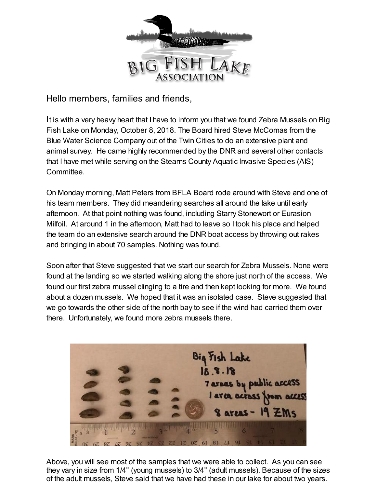

Hello members, families and friends,

It is with a very heavy heart that I have to inform you that we found Zebra Mussels on Big Fish Lake on Monday, October 8, 2018. The Board hired Steve McComas from the Blue Water Science Company out of the Twin Cities to do an extensive plant and animal survey. He came highly recommended by the DNR and several other contacts that I have met while serving on the Stearns County Aquatic Invasive Species (AIS) Committee.

On Monday morning, Matt Peters from BFLA Board rode around with Steve and one of his team members. They did meandering searches all around the lake until early afternoon. At that point nothing was found, including Starry Stonewort or Eurasion Milfoil. At around 1 in the afternoon, Matt had to leave so I took his place and helped the team do an extensive search around the DNR boat access by throwing out rakes and bringing in about 70 samples. Nothing was found.

Soon after that Steve suggested that we start our search for Zebra Mussels. None were found at the landing so we started walking along the shore just north of the access. We found our first zebra mussel clinging to a tire and then kept looking for more. We found about a dozen mussels. We hoped that it was an isolated case. Steve suggested that we go towards the other side of the north bay to see if the wind had carried them over there. Unfortunately, we found more zebra mussels there.



Above, you will see most of the samples that we were able to collect. As you can see they vary in size from 1/4" (young mussels) to 3/4" (adult mussels). Because of the sizes of the adult mussels, Steve said that we have had these in our lake for about two years.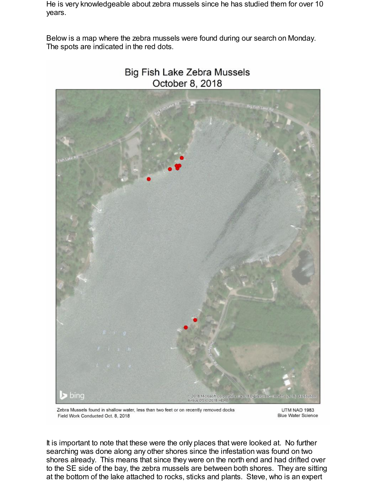He is very knowledgeable about zebra mussels since he has studied them for over 10 years.

Below is a map where the zebra mussels were found during our search on Monday. The spots are indicated in the red dots.



# Big Fish Lake Zebra Mussels October 8, 2018

Zebra Mussels found in shallow water, less than two feet or on recently removed docks Field Work Conducted Oct. 8, 2018

UTM NAD 1983 **Blue Water Science** 

It is important to note that these were the only places that were looked at. No further searching was done along any other shores since the infestation was found on two shores already. This means that since they were on the north end and had drifted over to the SE side of the bay, the zebra mussels are between both shores. They are sitting at the bottom of the lake attached to rocks, sticks and plants. Steve, who is an expert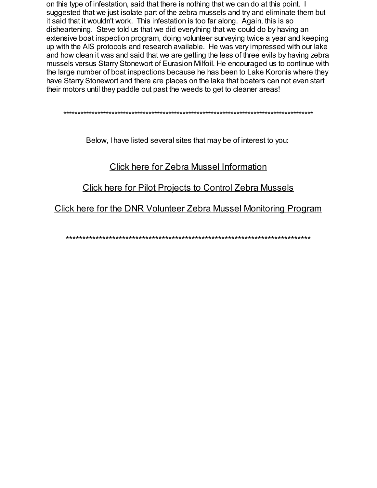on this type of infestation, said that there is nothing that we can do at this point. I suggested that we just isolate part of the zebra mussels and try and eliminate them but it said that it wouldn't work. This infestation is too far along. Again, this is so disheartening. Steve told us that we did everything that we could do by having an extensive boat inspection program, doing volunteer surveying twice a year and keeping up with the AIS protocols and research available. He was very impressed with our lake and how clean it was and said that we are getting the less of three evils by having zebra mussels versus Starry Stonewort of Eurasion Milfoil. He encouraged us to continue with the large number of boat inspections because he has been to Lake Koronis where they have Starry Stonewort and there are places on the lake that boaters can not even start their motors until they paddle out past the weeds to get to cleaner areas!

Below, I have listed several sites that may be of interest to you:

# **Click here for Zebra Mussel Information**

**Click here for Pilot Projects to Control Zebra Mussels** 

Click here for the DNR Volunteer Zebra Mussel Monitoring Program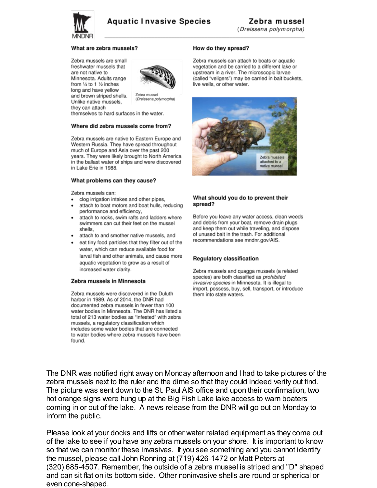

#### What are zebra mussels?

Zebra mussels are small freshwater mussels that are not native to Minnesota. Adults range from 1/4 to 1 1/2 inches long and have yellow and brown striped shells. Unlike native mussels, they can attach



Zebra mussel (Dreissena polymorpha)

themselves to hard surfaces in the water.

#### Where did zebra mussels come from?

Zebra mussels are native to Eastern Europe and Western Russia. They have spread throughout much of Europe and Asia over the past 200 years. They were likely brought to North America in the ballast water of ships and were discovered in Lake Erie in 1988.

#### What problems can they cause?

Zebra mussels can:

- clog irrigation intakes and other pipes,
- attach to boat motors and boat hulls, reducing performance and efficiency,
- attach to rocks, swim rafts and ladders where swimmers can cut their feet on the mussel shells.
- attach to and smother native mussels, and
- eat tiny food particles that they filter out of the water, which can reduce available food for larval fish and other animals, and cause more aquatic vegetation to grow as a result of increased water clarity.

#### Zebra mussels in Minnesota

Zebra mussels were discovered in the Duluth harbor in 1989. As of 2014, the DNR had documented zebra mussels in fewer than 100 water bodies in Minnesota. The DNR has listed a total of 213 water bodies as "infested" with zebra mussels, a regulatory classification which includes some water bodies that are connected to water bodies where zebra mussels have been found.

#### How do they spread?

Zebra mussels can attach to boats or aquatic vegetation and be carried to a different lake or upstream in a river. The microscopic larvae (called "veligers") may be carried in bait buckets, live wells, or other water.



#### What should you do to prevent their spread?

Before you leave any water access, clean weeds and debris from your boat, remove drain plugs and keep them out while traveling, and dispose of unused bait in the trash. For additional recommendations see mndnr.gov/AIS.

#### **Regulatory classification**

Zebra mussels and quagga mussels (a related species) are both classified as prohibited invasive species in Minnesota. It is illegal to import, possess, buy, sell, transport, or introduce them into state waters.

The DNR was notified right away on Monday afternoon and I had to take pictures of the zebra mussels next to the ruler and the dime so that they could indeed verify out find. The picture was sent down to the St. Paul AIS office and upon their confirmation, two hot orange signs were hung up at the Big Fish Lake lake access to warn boaters coming in or out of the lake. A news release from the DNR will go out on Monday to inform the public.

Please look at your docks and lifts or other water related equipment as they come out of the lake to see if you have any zebra mussels on your shore. It is important to know so that we can monitor these invasives. If you see something and you cannot identify the mussel, please call John Ronning at (719) 426-1472 or Matt Peters at (320) 685-4507. Remember, the outside of a zebra mussel is striped and "D" shaped and can sit flat on its bottom side. Other noninvasive shells are round or spherical or even cone-shaped.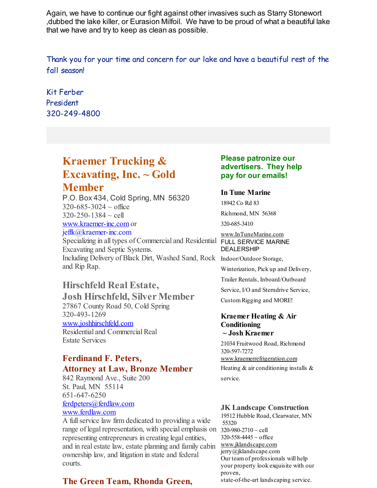Again, we have to continue our fight against other invasives such as Starry Stonewort ,dubbed the lake killer, or Eurasion Milfoil. We have to be proud of what a beautiful lake that we have and try to keep as clean as possible.

Thank you for your time and concern for our lake and have a beautiful rest of the fall season!

Kit Ferber President 320-249-4800

# **Kraemer Trucking & Excavating, Inc. ~ Gold**

# **Member**

P.O. Box 434, Cold Spring, MN 56320  $320 - 685 - 3024 \sim$  office  $320 - 250 - 1384 \sim$  cell [www.kraemer-inc.com](http://www.kraemer-inc.com) or jeffk@kraemer-inc.com

Specializing in all types of Commercial and Residential FULL SERVICE MARINE Excavating and Septic Systems. Including Delivery of Black Dirt, Washed Sand, Rock Indoor/Outdoor Storage, and Rip Rap.

# **Hirschfeld Real Estate,**

**Josh Hirschfeld, Silver Member** 27867 County Road 50, Cold Spring 320-493-1269 [www.joshhirschfeld.com](http://www.joshhirschfeld.com) Residential and Commercial Real

Estate Services

# **Ferdinand F. Peters, Attorney at Law, Bronze Member**

842 Raymond Ave., Suite 200 St. Paul, MN 55114 651-647-6250 [ferdpeters@ferdlaw.com](mailto:ferdpeters@ferdlaw.com) [www.ferdlaw.com](http://www.ferdlaw.com)

A fullservice law firm dedicated to providing a wide range of legal representation, with special emphasis on representing entrepreneurs in creating legal entities, and in real estate law, estate planning and family cabin ownership law, and litigation in state and federal courts.

# **The Green Team, Rhonda Green,**

# **Please patronize our advertisers. They help pay for our emails!**

### **In Tune Marine**

18942 Co Rd 83

Richmond, MN 56368

320-685-3410

[www.InTuneMarine.com](http://www.intunemarine.com) DEALERSHIP

Winterization, Pick up and Delivery,

Trailer Rentals, Inboard/Outboard

Service, I/O and Sterndrive Service,

CustomRigging and MORE!

### **Kraemer Heating & Air Conditioning ~ Josh Kraemer**

21034 Fruitwood Road, Richmond 320-597-7272 [www.kraemerrefrigeration.com](http://www.kraemerrefrigeration.com)

Heating  $&$  air conditioning installs  $&$ service.

### **JK Landscape Construction**

19512 Hubble Road, Clearwater, MN 55320 320-980-2710 ~ cell  $320 - 558 - 4445 \sim$  office [www.jklandscape.com](http://www.jklandscape.com) jerry@jklandscape.com Our teamof professionals will help your property look exquisite with our proven, state-of-the-art landscaping service.